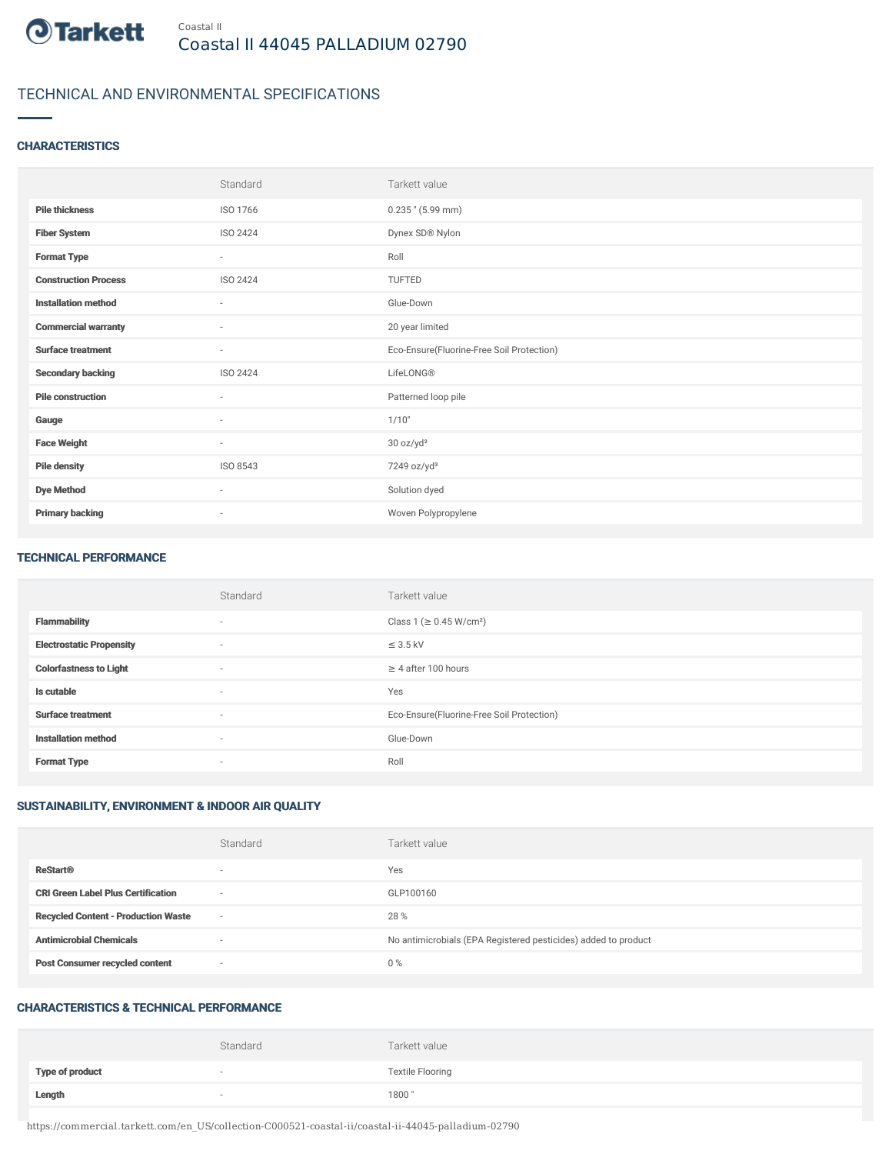

## TECHNICAL AND ENVIRONMENTAL SPECIFICATIONS

#### **CHARACTERISTICS**

|                             | Standard                 | Tarkett value                             |
|-----------------------------|--------------------------|-------------------------------------------|
| <b>Pile thickness</b>       | ISO 1766                 | $0.235$ " (5.99 mm)                       |
| <b>Fiber System</b>         | ISO 2424                 | Dynex SD® Nylon                           |
| <b>Format Type</b>          | $\sim$                   | Roll                                      |
| <b>Construction Process</b> | ISO 2424                 | TUFTED                                    |
| <b>Installation method</b>  | $\sim$                   | Glue-Down                                 |
| <b>Commercial warranty</b>  | $\sim$                   | 20 year limited                           |
| <b>Surface treatment</b>    | $\sim$                   | Eco-Ensure(Fluorine-Free Soil Protection) |
| <b>Secondary backing</b>    | ISO 2424                 | LifeLONG®                                 |
| <b>Pile construction</b>    | $\sim$                   | Patterned loop pile                       |
| Gauge                       | $\sim$                   | 1/10"                                     |
| <b>Face Weight</b>          | $\sim$                   | 30 oz/yd <sup>2</sup>                     |
| <b>Pile density</b>         | ISO 8543                 | 7249 oz/yd <sup>3</sup>                   |
| <b>Dye Method</b>           | $\sim$                   | Solution dyed                             |
| <b>Primary backing</b>      | $\overline{\phantom{a}}$ | Woven Polypropylene                       |

#### TECHNICAL PERFORMANCE

|                                 | Standard | Tarkett value                             |
|---------------------------------|----------|-------------------------------------------|
| <b>Flammability</b>             | $\sim$   | Class 1 (≥ 0.45 W/cm <sup>2</sup> )       |
| <b>Electrostatic Propensity</b> | $\sim$   | $\leq$ 3.5 kV                             |
| <b>Colorfastness to Light</b>   | $\sim$   | $\geq$ 4 after 100 hours                  |
| Is cutable                      | $\sim$   | Yes                                       |
| <b>Surface treatment</b>        | $\sim$   | Eco-Ensure(Fluorine-Free Soil Protection) |
| <b>Installation method</b>      | $\sim$   | Glue-Down                                 |
| <b>Format Type</b>              | $\sim$   | Roll                                      |

### SUSTAINABILITY, ENVIRONMENT & INDOOR AIR QUALITY

|                                            | Standard                 | Tarkett value                                                  |
|--------------------------------------------|--------------------------|----------------------------------------------------------------|
| <b>ReStart®</b>                            | $\overline{\phantom{a}}$ | Yes                                                            |
| <b>CRI Green Label Plus Certification</b>  | $\overline{\phantom{a}}$ | GLP100160                                                      |
| <b>Recycled Content - Production Waste</b> | $\overline{\phantom{a}}$ | 28 %                                                           |
| <b>Antimicrobial Chemicals</b>             | -                        | No antimicrobials (EPA Registered pesticides) added to product |
| <b>Post Consumer recycled content</b>      | $\overline{\phantom{a}}$ | $0\%$                                                          |

#### CHARACTERISTICS & TECHNICAL PERFORMANCE

|                        | Standard                 | Tarkett value           |
|------------------------|--------------------------|-------------------------|
| <b>Type of product</b> | $\overline{\phantom{a}}$ | <b>Textile Flooring</b> |
| Length                 |                          | 1800"                   |

https://commercial.tarkett.com/en\_US/collection-C000521-coastal-ii/coastal-ii-44045-palladium-02790